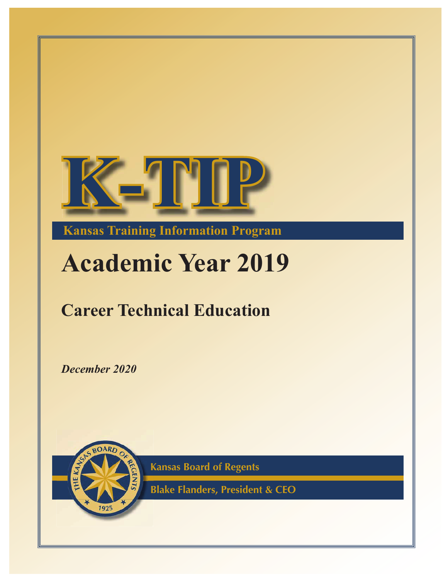

**Kansas Training Information Program**

# **Academic Year 201**

# **Career Technical Education**

December 2020



**Kansas Board of Regents K**

**Blake Flanders, President & CEO B**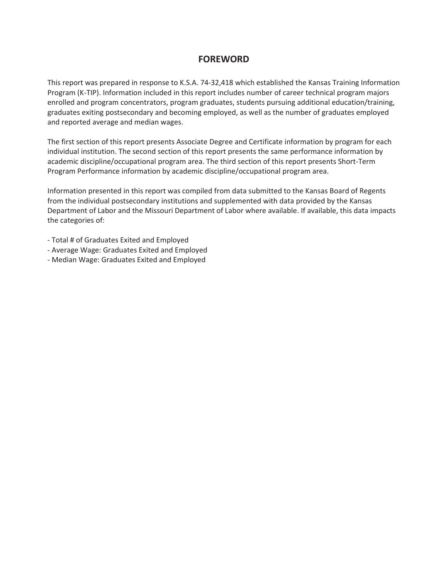# **FOREWORD**

This report was prepared in response to K.S.A. 74-32,418 which established the Kansas Training Information Program (K-TIP). Information included in this report includes number of career technical program majors enrolled and program concentrators, program graduates, students pursuing additional education/training, graduates exiting postsecondary and becoming employed, as well as the number of graduates employed and reported average and median wages.

The first section of this report presents Associate Degree and Certificate information by program for each individual institution. The second section of this report presents the same performance information by academic discipline/occupational program area. The third section of this report presents Short-Term Program Performance information by academic discipline/occupational program area.

Information presented in this report was compiled from data submitted to the Kansas Board of Regents from the individual postsecondary institutions and supplemented with data provided by the Kansas Department of Labor and the Missouri Department of Labor where available. If available, this data impacts the categories of:

- Total # of Graduates Exited and Employed
- Average Wage: Graduates Exited and Employed
- Median Wage: Graduates Exited and Employed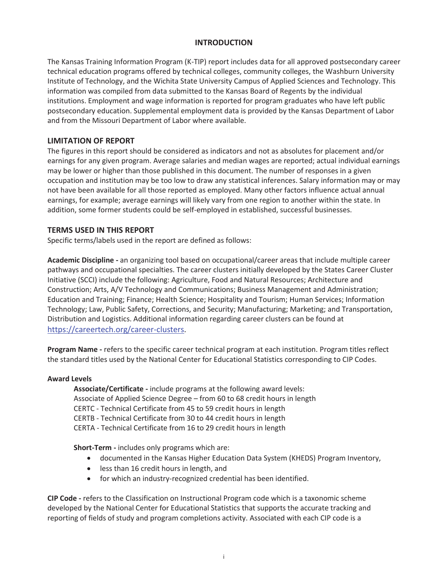#### **INTRODUCTION**

The Kansas Training Information Program (K-TIP) report includes data for all approved postsecondary career technical education programs offered by technical colleges, community colleges, the Washburn University Institute of Technology, and the Wichita State University Campus of Applied Sciences and Technology. This information was compiled from data submitted to the Kansas Board of Regents by the individual institutions. Employment and wage information is reported for program graduates who have left public postsecondary education. Supplemental employment data is provided by the Kansas Department of Labor and from the Missouri Department of Labor where available.

## **LIMITATION OF REPORT**

The figures in this report should be considered as indicators and not as absolutes for placement and/or earnings for any given program. Average salaries and median wages are reported; actual individual earnings may be lower or higher than those published in this document. The number of responses in a given occupation and institution may be too low to draw any statistical inferences. Salary information may or may not have been available for all those reported as employed. Many other factors influence actual annual earnings, for example; average earnings will likely vary from one region to another within the state. In addition, some former students could be self-employed in established, successful businesses.

## **TERMS USED IN THIS REPORT**

Specific terms/labels used in the report are defined as follows:

**Academic Discipline -** an organizing tool based on occupational/career areas that include multiple career pathways and occupational specialties. The career clusters initially developed by the States Career Cluster Initiative (SCCI) include the following: Agriculture, Food and Natural Resources; Architecture and Construction; Arts, A/V Technology and Communications; Business Management and Administration; Education and Training; Finance; Health Science; Hospitality and Tourism; Human Services; Information Technology; Law, Public Safety, Corrections, and Security; Manufacturing; Marketing; and Transportation, Distribution and Logistics. Additional information regarding career clusters can be found at https://careertech.org/career-clusters.

**Program Name -** refers to the specific career technical program at each institution. Program titles reflect the standard titles used by the National Center for Educational Statistics corresponding to CIP Codes.

#### **Award Levels**

**Associate/Certificate -** include programs at the following award levels: Associate of Applied Science Degree – from 60 to 68 credit hours in length CERTC - Technical Certificate from 45 to 59 credit hours in length CERTB - Technical Certificate from 30 to 44 credit hours in length CERTA - Technical Certificate from 16 to 29 credit hours in length

**Short-Term -** includes only programs which are:

- documented in the Kansas Higher Education Data System (KHEDS) Program Inventory,
- less than 16 credit hours in length, and
- for which an industry-recognized credential has been identified.

**CIP Code -** refers to the Classification on Instructional Program code which is a taxonomic scheme developed by the National Center for Educational Statistics that supports the accurate tracking and reporting of fields of study and program completions activity. Associated with each CIP code is a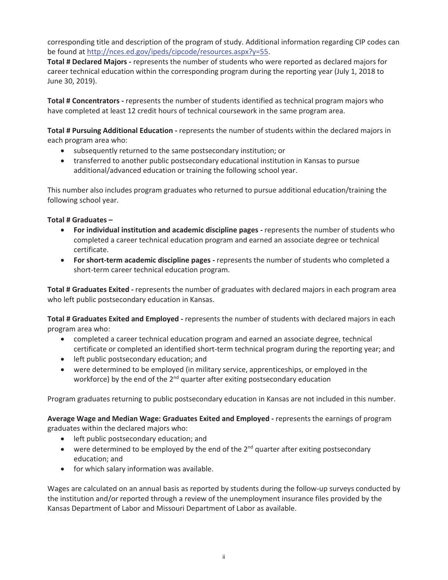corresponding title and description of the program of study. Additional information regarding CIP codes can be found at http://nces.ed.gov/ipeds/cipcode/resources.aspx?y=55.

**Total # Declared Majors -** represents the number of students who were reported as declared majors for career technical education within the corresponding program during the reporting year (July 1, 2018 to June 30, 2019).

**Total # Concentrators -** represents the number of students identified as technical program majors who have completed at least 12 credit hours of technical coursework in the same program area.

**Total # Pursuing Additional Education -** represents the number of students within the declared majors in each program area who:

- subsequently returned to the same postsecondary institution; or
- transferred to another public postsecondary educational institution in Kansas to pursue additional/advanced education or training the following school year.

This number also includes program graduates who returned to pursue additional education/training the following school year.

#### **Total # Graduates –**

- **•** For individual institution and academic discipline pages represents the number of students who completed a career technical education program and earned an associate degree or technical certificate.
- **For short-term academic discipline pages -** represents the number of students who completed a short-term career technical education program.

**Total # Graduates Exited -** represents the number of graduates with declared majors in each program area who left public postsecondary education in Kansas.

**Total # Graduates Exited and Employed -** represents the number of students with declared majors in each program area who:

- completed a career technical education program and earned an associate degree, technical certificate or completed an identified short-term technical program during the reporting year; and
- left public postsecondary education; and
- were determined to be employed (in military service, apprenticeships, or employed in the workforce) by the end of the  $2<sup>nd</sup>$  quarter after exiting postsecondary education

Program graduates returning to public postsecondary education in Kansas are not included in this number.

**Average Wage and Median Wage: Graduates Exited and Employed -** represents the earnings of program graduates within the declared majors who:

- left public postsecondary education; and
- were determined to be employed by the end of the  $2<sup>nd</sup>$  quarter after exiting postsecondary education; and
- $\bullet$  for which salary information was available.

Wages are calculated on an annual basis as reported by students during the follow-up surveys conducted by the institution and/or reported through a review of the unemployment insurance files provided by the Kansas Department of Labor and Missouri Department of Labor as available.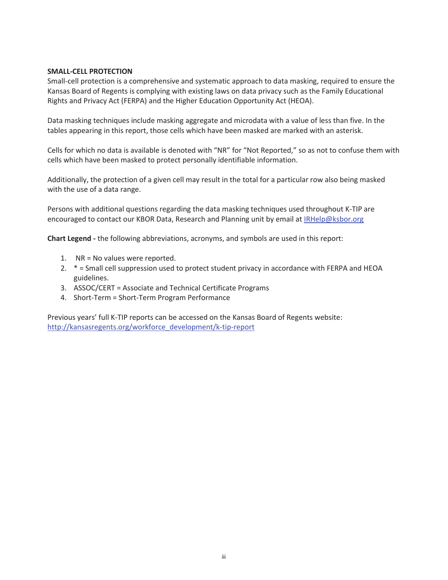#### **SMALL-CELL PROTECTION**

Small-cell protection is a comprehensive and systematic approach to data masking, required to ensure the Kansas Board of Regents is complying with existing laws on data privacy such as the Family Educational Rights and Privacy Act (FERPA) and the Higher Education Opportunity Act (HEOA).

Data masking techniques include masking aggregate and microdata with a value of less than five. In the tables appearing in this report, those cells which have been masked are marked with an asterisk.

Cells for which no data is available is denoted with "NR" for "Not Reported," so as not to confuse them with cells which have been masked to protect personally identifiable information.

Additionally, the protection of a given cell may result in the total for a particular row also being masked with the use of a data range.

Persons with additional questions regarding the data masking techniques used throughout K-TIP are encouraged to contact our KBOR Data, Research and Planning unit by email at IRHelp@ksbor.org

**Chart Legend -** the following abbreviations, acronyms, and symbols are used in this report:

- 1. NR = No values were reported.
- 2. \* = Small cell suppression used to protect student privacy in accordance with FERPA and HEOA guidelines.
- 3. ASSOC/CERT = Associate and Technical Certificate Programs
- 4. Short-Term = Short-Term Program Performance

Previous years' full K-TIP reports can be accessed on the Kansas Board of Regents website: http://kansasregents.org/workforce\_development/k-tip-report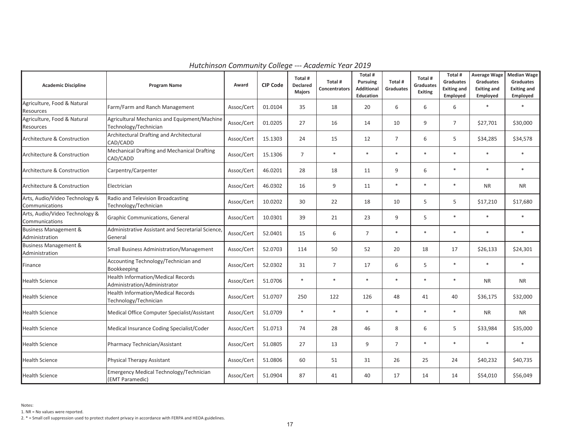| <b>Academic Discipline</b>                         | <b>Program Name</b>                                                       | Award      | <b>CIP Code</b> | Total #<br><b>Declared</b><br><b>Majors</b> | Total #<br>Concentrators | Total #<br><b>Pursuing</b><br>Additional<br>Education | Total #<br>Graduates | Total #<br><b>Graduates</b><br>Exiting | Total #<br><b>Graduates</b><br><b>Exiting and</b><br>Employed | <b>Average Wage</b><br>Graduates<br><b>Exiting and</b><br>Employed | <b>Median Wage</b><br>Graduates<br><b>Exiting and</b><br>Employed |
|----------------------------------------------------|---------------------------------------------------------------------------|------------|-----------------|---------------------------------------------|--------------------------|-------------------------------------------------------|----------------------|----------------------------------------|---------------------------------------------------------------|--------------------------------------------------------------------|-------------------------------------------------------------------|
| Agriculture, Food & Natural<br>Resources           | Farm/Farm and Ranch Management                                            | Assoc/Cert | 01.0104         | 35                                          | 18                       | 20                                                    | 6                    | 6                                      | 6                                                             | $\ast$                                                             | $\ast$                                                            |
| Agriculture, Food & Natural<br><b>Resources</b>    | Agricultural Mechanics and Equipment/Machine<br>Technology/Technician     | Assoc/Cert | 01.0205         | 27                                          | 16                       | 14                                                    | 10                   | 9                                      | $\overline{7}$                                                | \$27,701                                                           | \$30,000                                                          |
| Architecture & Construction                        | Architectural Drafting and Architectural<br>CAD/CADD                      | Assoc/Cert | 15.1303         | 24                                          | 15                       | 12                                                    | $\overline{7}$       | 6                                      | 5                                                             | \$34,285                                                           | \$34,578                                                          |
| Architecture & Construction                        | Mechanical Drafting and Mechanical Drafting<br>CAD/CADD                   | Assoc/Cert | 15.1306         | $\overline{7}$                              | $\ast$                   | $\ast$                                                | $\ast$               | $\ast$                                 | $\ast$                                                        | $\ast$                                                             | $\ast$                                                            |
| Architecture & Construction                        | Carpentry/Carpenter                                                       | Assoc/Cert | 46.0201         | 28                                          | 18                       | 11                                                    | 9                    | 6                                      | $\ast$                                                        | $\ast$                                                             | $\ast$                                                            |
| Architecture & Construction                        | Electrician                                                               | Assoc/Cert | 46.0302         | 16                                          | 9                        | 11                                                    | $\ast$               | $\ast$                                 | $\ast$                                                        | <b>NR</b>                                                          | <b>NR</b>                                                         |
| Arts, Audio/Video Technology &<br>Communications   | Radio and Television Broadcasting<br>Technology/Technician                | Assoc/Cert | 10.0202         | 30                                          | 22                       | 18                                                    | 10                   | 5                                      | 5                                                             | \$17,210                                                           | \$17,680                                                          |
| Arts, Audio/Video Technology &<br>Communications   | Graphic Communications, General                                           | Assoc/Cert | 10.0301         | 39                                          | 21                       | 23                                                    | 9                    | 5                                      | $\ast$                                                        | $\ast$                                                             | $\ast$                                                            |
| <b>Business Management &amp;</b><br>Administration | Administrative Assistant and Secretarial Science,<br>General              | Assoc/Cert | 52.0401         | 15                                          | 6                        | $\overline{7}$                                        | $\ast$               | $\ast$                                 | $\ast$                                                        | $\ast$                                                             | $\ast$                                                            |
| <b>Business Management &amp;</b><br>Administration | Small Business Administration/Management                                  | Assoc/Cert | 52.0703         | 114                                         | 50                       | 52                                                    | 20                   | 18                                     | 17                                                            | \$26,133                                                           | \$24,301                                                          |
| Finance                                            | Accounting Technology/Technician and<br>Bookkeeping                       | Assoc/Cert | 52.0302         | 31                                          | $\overline{7}$           | 17                                                    | 6                    | 5                                      | $\ast$                                                        | $\ast$                                                             | $\ast$                                                            |
| <b>Health Science</b>                              | <b>Health Information/Medical Records</b><br>Administration/Administrator | Assoc/Cert | 51.0706         | $\ast$                                      | $\ast$                   | $\ast$                                                | $\ast$               | $\ast$                                 | $\ast$                                                        | <b>NR</b>                                                          | <b>NR</b>                                                         |
| <b>Health Science</b>                              | Health Information/Medical Records<br>Technology/Technician               | Assoc/Cert | 51.0707         | 250                                         | 122                      | 126                                                   | 48                   | 41                                     | 40                                                            | \$36,175                                                           | \$32,000                                                          |
| <b>Health Science</b>                              | Medical Office Computer Specialist/Assistant                              | Assoc/Cert | 51.0709         | $\ast$                                      | $\ast$                   | $\ast$                                                | $\ast$               | $\ast$                                 | $\ast$                                                        | <b>NR</b>                                                          | <b>NR</b>                                                         |
| <b>Health Science</b>                              | Medical Insurance Coding Specialist/Coder                                 | Assoc/Cert | 51.0713         | 74                                          | 28                       | 46                                                    | 8                    | 6                                      | 5                                                             | \$33,984                                                           | \$35,000                                                          |
| <b>Health Science</b>                              | Pharmacy Technician/Assistant                                             | Assoc/Cert | 51.0805         | 27                                          | 13                       | 9                                                     | $\overline{7}$       | $\ast$                                 | $\ast$                                                        | $\ast$                                                             | $\ast$                                                            |
| <b>Health Science</b>                              | Physical Therapy Assistant                                                | Assoc/Cert | 51.0806         | 60                                          | 51                       | 31                                                    | 26                   | 25                                     | 24                                                            | \$40,232                                                           | \$40,735                                                          |
| <b>Health Science</b>                              | <b>Emergency Medical Technology/Technician</b><br>(EMT Paramedic)         | Assoc/Cert | 51.0904         | 87                                          | 41                       | 40                                                    | 17                   | 14                                     | 14                                                            | \$54,010                                                           | \$56,049                                                          |

*Hutchinson Community College --- Academic Year 2019*

Notes: 1. NR = No values were reported.

2. \* = Small cell suppression used to protect student privacy in accordance with FERPA and HEOA guidelines.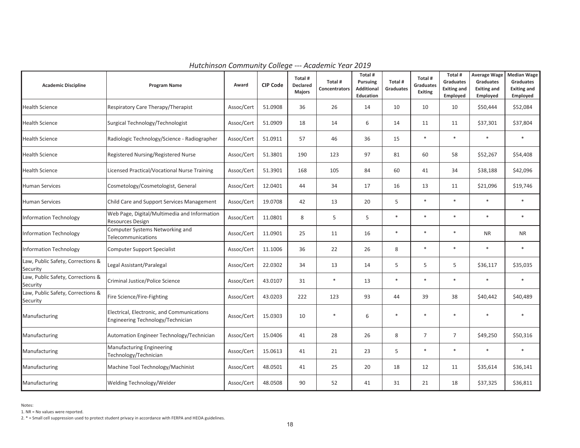| <b>Academic Discipline</b>                    | <b>Program Name</b>                                                             | Award      | <b>CIP Code</b> | Total #<br><b>Declared</b><br><b>Majors</b> | Total #<br><b>Concentrators</b> | Total #<br><b>Pursuing</b><br><b>Additional</b><br>Education | Total #<br>Graduates | Total #<br><b>Graduates</b><br>Exiting | Total #<br><b>Graduates</b><br><b>Exiting and</b><br>Employed | <b>Average Wage</b><br>Graduates<br><b>Exiting and</b><br>Employed | <b>Median Wage</b><br>Graduates<br><b>Exiting and</b><br>Employed |
|-----------------------------------------------|---------------------------------------------------------------------------------|------------|-----------------|---------------------------------------------|---------------------------------|--------------------------------------------------------------|----------------------|----------------------------------------|---------------------------------------------------------------|--------------------------------------------------------------------|-------------------------------------------------------------------|
| Health Science                                | Respiratory Care Therapy/Therapist                                              | Assoc/Cert | 51.0908         | 36                                          | 26                              | 14                                                           | 10                   | 10                                     | 10                                                            | \$50,444                                                           | \$52,084                                                          |
| <b>Health Science</b>                         | Surgical Technology/Technologist                                                | Assoc/Cert | 51.0909         | 18                                          | 14                              | 6                                                            | 14                   | 11                                     | 11                                                            | \$37,301                                                           | \$37,804                                                          |
| <b>Health Science</b>                         | Radiologic Technology/Science - Radiographer                                    | Assoc/Cert | 51.0911         | 57                                          | 46                              | 36                                                           | 15                   | $\ast$                                 | $\ast$                                                        | $\ast$                                                             | $\ast$                                                            |
| <b>Health Science</b>                         | Registered Nursing/Registered Nurse                                             | Assoc/Cert | 51.3801         | 190                                         | 123                             | 97                                                           | 81                   | 60                                     | 58                                                            | \$52,267                                                           | \$54,408                                                          |
| <b>Health Science</b>                         | Licensed Practical/Vocational Nurse Training                                    | Assoc/Cert | 51.3901         | 168                                         | 105                             | 84                                                           | 60                   | 41                                     | 34                                                            | \$38,188                                                           | \$42,096                                                          |
| <b>Human Services</b>                         | Cosmetology/Cosmetologist, General                                              | Assoc/Cert | 12.0401         | 44                                          | 34                              | 17                                                           | 16                   | 13                                     | 11                                                            | \$21,096                                                           | \$19,746                                                          |
| <b>Human Services</b>                         | Child Care and Support Services Management                                      | Assoc/Cert | 19.0708         | 42                                          | 13                              | 20                                                           | 5                    | $\ast$                                 | $\ast$                                                        | $\ast$                                                             | $\ast$                                                            |
| nformation Technology                         | Web Page, Digital/Multimedia and Information<br><b>Resources Design</b>         | Assoc/Cert | 11.0801         | 8                                           | 5                               | 5                                                            | $\ast$               |                                        | $\ast$                                                        | $\ast$                                                             | $\ast$                                                            |
| nformation Technology                         | Computer Systems Networking and<br>Telecommunications                           | Assoc/Cert | 11.0901         | 25                                          | 11                              | 16                                                           | $\ast$               | $*$                                    | $\ast$                                                        | <b>NR</b>                                                          | <b>NR</b>                                                         |
| Information Technology                        | <b>Computer Support Specialist</b>                                              | Assoc/Cert | 11.1006         | 36                                          | 22                              | 26                                                           | 8                    | $\ast$                                 | $\ast$                                                        | $\ast$                                                             | $\ast$                                                            |
| Law, Public Safety, Corrections &<br>Security | Legal Assistant/Paralegal                                                       | Assoc/Cert | 22.0302         | 34                                          | 13                              | 14                                                           | 5                    | 5                                      | 5                                                             | \$36,117                                                           | \$35,035                                                          |
| Law, Public Safety, Corrections &<br>Security | Criminal Justice/Police Science                                                 | Assoc/Cert | 43.0107         | 31                                          | $\ast$                          | 13                                                           | $\ast$               | $\ast$                                 | $\ast$                                                        | $\ast$                                                             | $\ast$                                                            |
| Law, Public Safety, Corrections &<br>Security | Fire Science/Fire-Fighting                                                      | Assoc/Cert | 43.0203         | 222                                         | 123                             | 93                                                           | 44                   | 39                                     | 38                                                            | \$40,442                                                           | \$40,489                                                          |
| Manufacturing                                 | Electrical, Electronic, and Communications<br>Engineering Technology/Technician | Assoc/Cert | 15.0303         | 10                                          | $\ast$                          | 6                                                            | $\ast$               | $\ast$                                 | $\ast$                                                        | $\ast$                                                             | $\ast$                                                            |
| Manufacturing                                 | Automation Engineer Technology/Technician                                       | Assoc/Cert | 15.0406         | 41                                          | 28                              | 26                                                           | 8                    | $\overline{7}$                         | $\overline{7}$                                                | \$49,250                                                           | \$50,316                                                          |
| Manufacturing                                 | <b>Manufacturing Engineering</b><br>Technology/Technician                       | Assoc/Cert | 15.0613         | 41                                          | 21                              | 23                                                           | 5                    | $\ast$                                 | $\ast$                                                        | $\ast$                                                             | $\ast$                                                            |
| Manufacturing                                 | Machine Tool Technology/Machinist                                               | Assoc/Cert | 48.0501         | 41                                          | 25                              | 20                                                           | 18                   | 12                                     | 11                                                            | \$35,614                                                           | \$36,141                                                          |
| Manufacturing                                 | Welding Technology/Welder                                                       | Assoc/Cert | 48.0508         | 90                                          | 52                              | 41                                                           | 31                   | 21                                     | 18                                                            | \$37,325                                                           | \$36,811                                                          |

*Hutchinson Community College --- Academic Year 2019*

Notes:

2. \* = Small cell suppression used to protect student privacy in accordance with FERPA and HEOA guidelines.